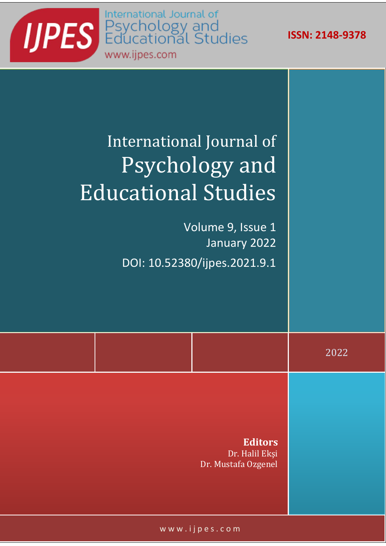**ISSN: 2148-9378**



## International Journal of Psychology and Educational Studies

Volume 9, Issue 1 January 2022 DOI: 10.52380/ijpes.2021.9.1

2022

**Editors** Dr. Halil Ekşi Dr. Mustafa Ozgenel